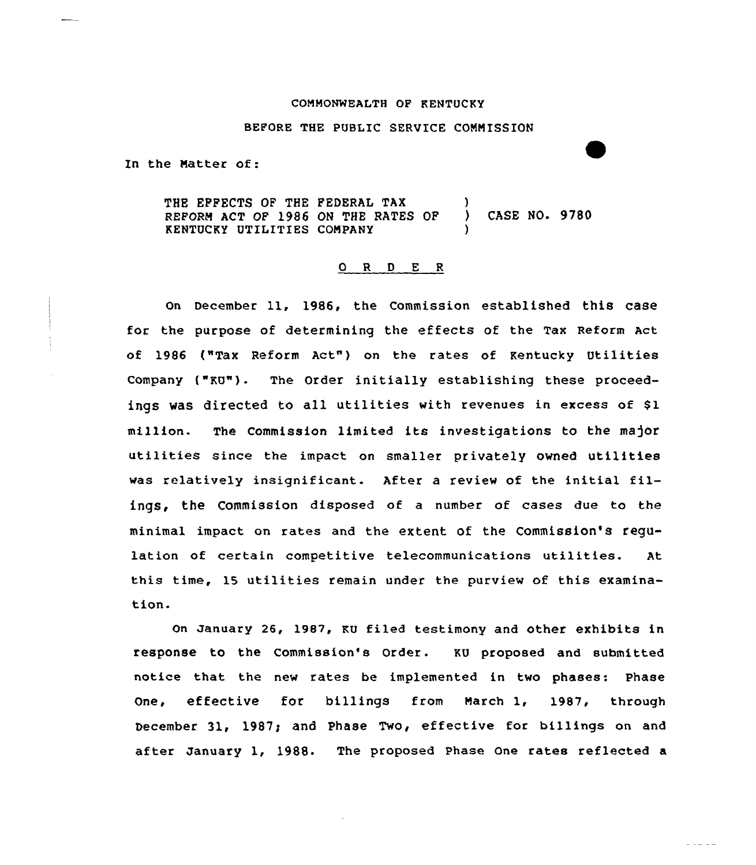#### COMMONWEALTH OF KENTUCKY

#### BEFORE THE PUBLIC SERVICE CONNISSION

In the Natter of:

THE EPPECTS OF THE FEDERAL TAX (1) REFORN ACT OF 1986 ON THE RATES OP ) CASE NO. 9780 KENTUCKY UTILITIES COMPANY

## 0 R <sup>D</sup> E R

on December 11, 1986, the Commission established this case for the purpose of determining the effects of the Tax Reform Act of 1986 ("Tax Reform Act") on the rates of Kentucky Utilities Company {"KU")- The Order initially establishing these proceedings was directed to all utilities with revenues in excess of gl million. The Commission limited its investigations to the ma)or utilities since the impact on smaller privately owned utilities was relatively insignificant. After <sup>a</sup> review of the initial filings, the Commission disposed of a number of cases due to the minimal impact on rates and the extent of the Commission's regulation of certain competitive telecommunications utilities. At this time, 15 utilities remain under the purview of this examination.

on January 26, 198/, KU filed testimony and other exhibits in response to the Commission's Order. KU proposed and submitted notice that the new rates be implemented in two phases: Phase One, effective for billings from Narch 1, 1987, through becember 31, 1987; and Phase Two, effective for billings on and after January 1, 1988. The proposed Phase one rates reflected a

and a state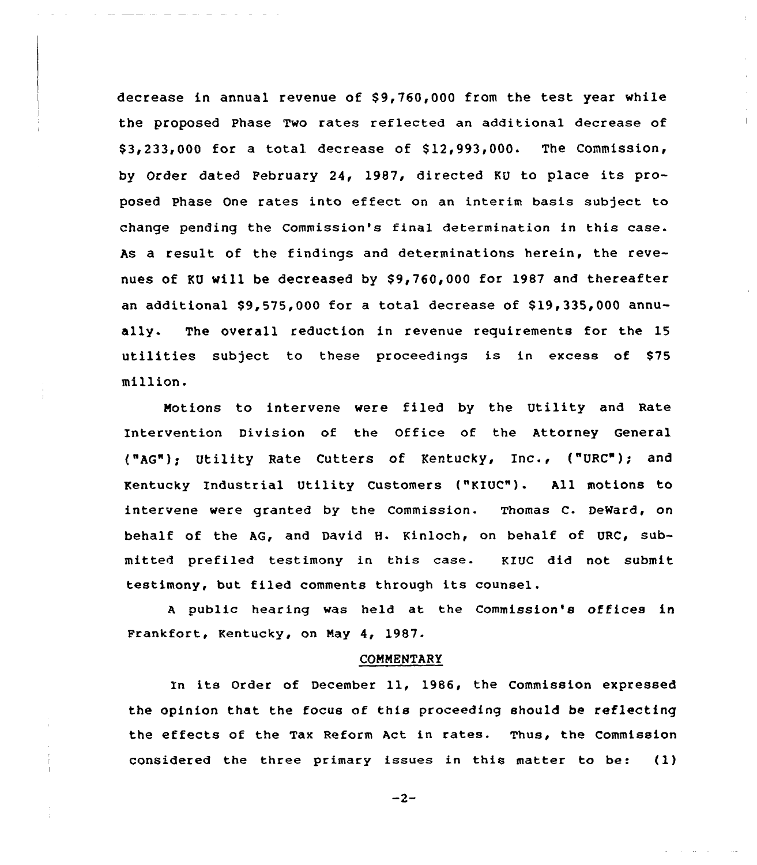decrease in annual revenue of  $$9,760,000$  from the test year while the proposed Phase Two rates reflected an additional decrease of  $$3,233,000$  for a total decrease of  $$12,993,000$ . The Commission, by Order dated February 24, 1987, directed KU to place its proposed Phase One rates into effect on an interim basis subject to change pending the Commission's final determination in this case. As a result of the findings and determinations herein, the revenues of KU will be decreased by \$9,760,000 for 1987 and thereafter an additional  $$9,575,000$  for a total decrease of  $$19,335,000$  annually. The overall reduction in revenue requirements for the 15 utilities subject to these proceedings is in excess of \$75 million.

Motions to intervene were filed by the Utility and Rate Intervention Division of the Office of the Attorney General ("AG"); Utility Rate Cutters of Kentucky, Inc., ("URC"); and Kentucky Industrial Utility Customers ("KIUC"). All motions to intervene were granted by the Commission. Thomas C. DeWard, on behalf of the AG, and David H. Kinloch, on behalf of URC, submitted prefiled testimony in this case. KIUC did not submit testimony, but filed comments through its counsel.

<sup>A</sup> public hearing was held at the Commission's offices in Frankfort, Kentucky, on May 4, 1987.

#### COMMENTARY

In its Order of December 11, 1986, the Commission expressed the opinion that the focus of this proceeding should be reflecting the effects of the Tax Reform Act in rates. Thus, the commission considered the three primary issues in this matter to be: (1)

 $-2-$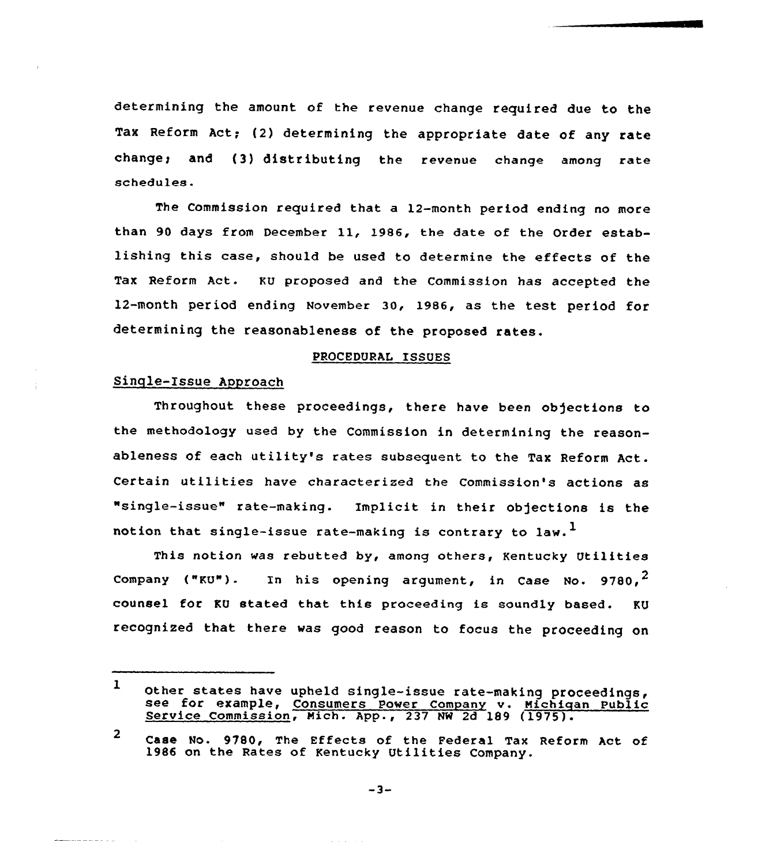determining the amount of the revenue change required due to the Tax Reform Act; (2) determining the appropriate date of any rate change; and (3) distributing the revenue change among rate schedules.

The Commission required that a 12-month period ending no more than <sup>90</sup> days from December ll, l986, the date of the Order establishing this case, should be used to determine the effects of the Tax Reform Act. KU proposed and the commission has accepted the 12-month period ending November 30, 1986, as the test period for determining the reasonableness of the proposed rates.

# PROCEDURAL ISSUES

# Sinqle-Issue Approach

الرائي والمستشف للمحمد

Throughout these proceedings, there have been objections to the methodology used by the Commission in determining the reasonableness of each utility's rates subsequent to the Tax Reform Act. Certain utilities have characterized the Commission's actions as "single-issue" rate-making. Implicit in their objections is the notion that single-issue rate-making is contrary to law.<sup>1</sup>

This notion was rebutted by, among others, Kentucky Utilities Company ("KU"). In his opening argument, in Case No. 9780.<sup>2</sup> counsel for KU stated that this proceeding is soundly based. KU recognized that there was good reason to focus the proceeding on

 $\alpha$  ,  $\alpha$  ,  $\alpha$  ,  $\alpha$ 

<sup>1</sup> other states have upheld single-issue rate-making proceedings, see for example, consumers Power company v. Michigan Public Service Commission, Mich. App., <sup>237</sup> NW 2d <sup>189</sup> (1975).

<sup>2</sup> Case No. 9780, The Effects of the Federal Tax Reform Act of 1986 on the Rates of Kentucky Utilities Company.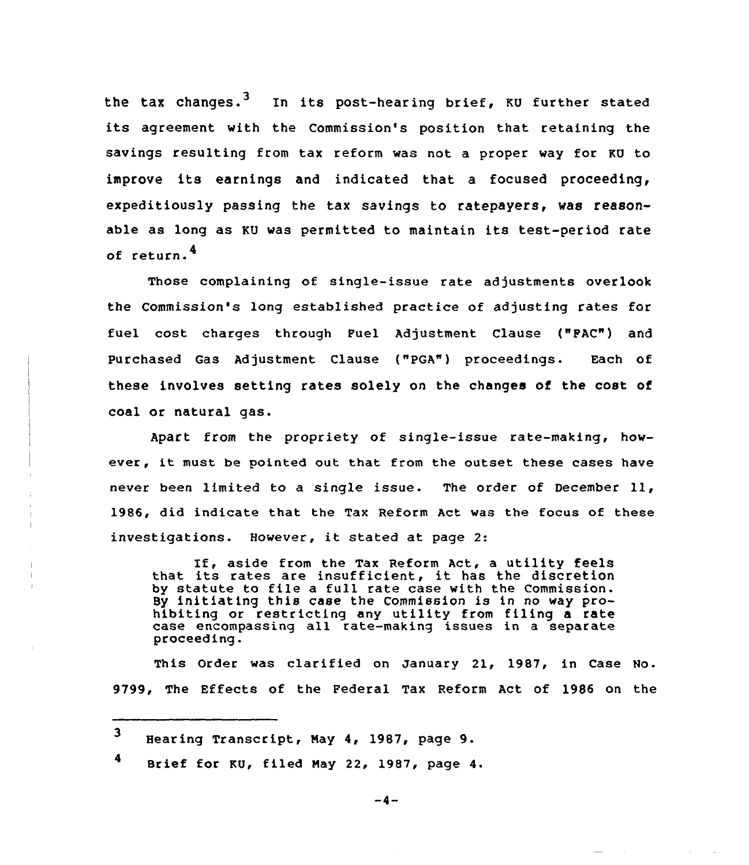the tax changes.<sup>3</sup> In its post-hearing brief, KU further stated its agreement with the Commission's position that retaining the savings resulting from tax reform was not a proper way for KU to improve its earnings and indicated that <sup>a</sup> focused proceeding, expeditiously passing the tax savings to ratepayers, was reasonable as long as KU was permitted to maintain its test-period rate of return.<sup>4</sup>

Those complaining of single-issue rate adjustments overlook the Commission's long established practice of adjusting rates for fuel cost charges through Puel Adjustment Clause ("PAC") and Purchased Gas Adjustment Clause ("PGA") proceedings. Each of these involves setting rates solely on the changes of the cost of coal or natural gas.

Apart from the propriety of single-issue rate-making, however, it must be pointed out that from the outset these cases have never been limited to <sup>a</sup> single issue. The order of December ll, 1986, did indicate that the Tax Reform Act was the focus of these investigations. However, it stated at page 2:

If, aside from the Tax Reform Act, a utility feels that its rates are insufficient, it has the discretion by statute to file <sup>a</sup> full rate case with the Commission. By initiating this case the Commission is in no way prohibiting or restricting any utility from filing a rate case encompassing all tate-making issues in a separate proceeding.

This Order was clarified on January 21, 1987, in Case No. 9799, The Effects of the Federal Tax Reform Act of 1986 on the

 $4$  Brief for KU, filed May 22, 1987, page 4.

 $-4-$ 

<sup>3</sup> Hearing Transcript, May 4, 1987, page 9.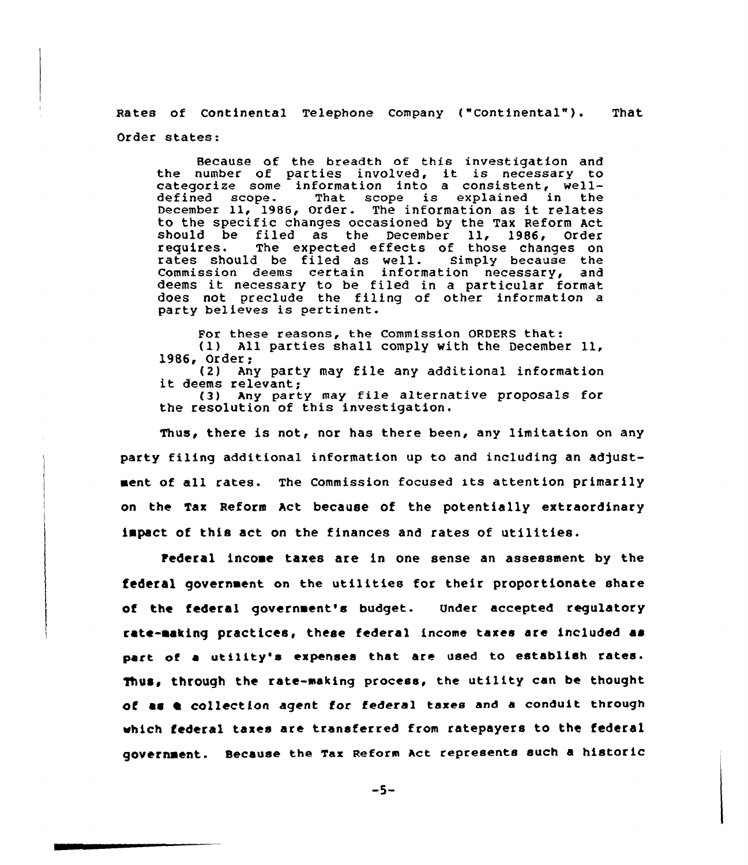Rates of Continental Telephone Company ("Continental"). That Order states:

Because of the breadth of this investigation and the number of parties involved, it is necessary to categorize some information into a consistent, well-<br>defined scope. That scope is explained in the That scope is explained in the December 11, 1986, Order. The information as it relates to the specific changes occasioned by the Tax Reform Act should be filed as the December<br>requires. The expected effects of The expected effects of those changes on<br>I be filed as well. Simply because the rates should be filed as well. Commission deems certain information necessary, and deems it necessary to be filed in <sup>a</sup> particular format does not preclude the filing of other information a party believes is pertinent.

For these reasons, the Commission ORDERS that:<br>(1) All parties shall comply with the December 11, 1986, Order: (2) Any party may file any additional information it deems relevant;

(3) Any party may file alternative proposals for the resolution of this investigation.

Thus, there is not, nor has there been, any limitation on any party filing additional information up to and including an adjustment of all rates. The Commission focused its attention primarily on the Tax Reform Act because of the potentially extraordinary impact of this act on the finances and rates of utilities.

rederal income taxes are in one sense an assessment by the federal government on the utilities for their proportionate share of the federal government's budget. Under accepted requiatory rate-making practices, these federal income taxes are included as part of a utility's expenses that are used to establish rates. Thus, through the rate-making process, the utility can be thought of as a collection agent for federal taxes and a conduit through which federal taxes are transferred from ratepayers to the federal government. Because the Tax Reform Act represents such a historic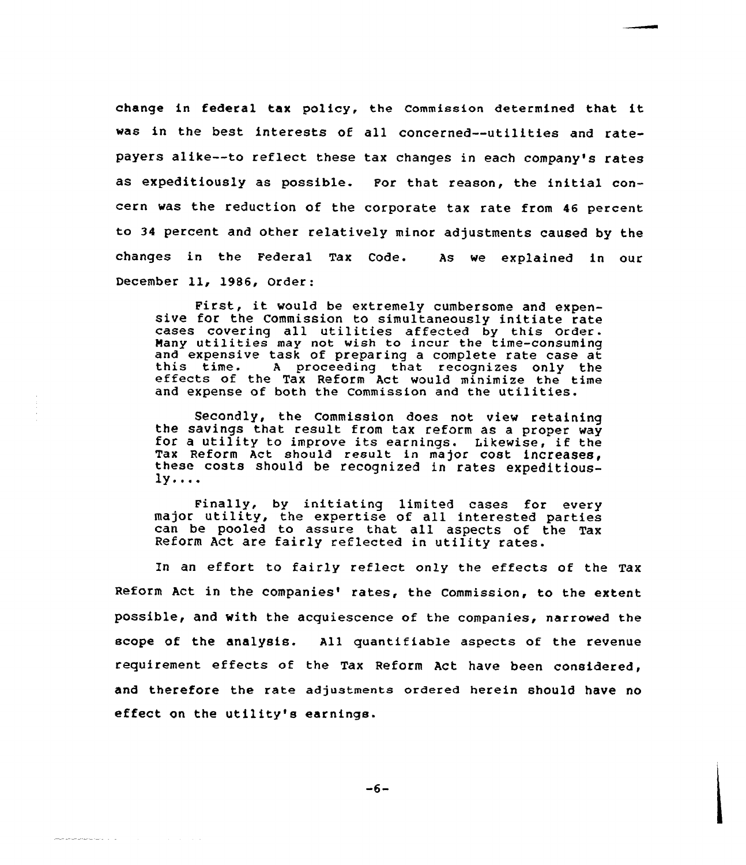change in federal tax policy, the commission determined that it was in the best interests of all concerned--utilities and ratepayers alike--to reflect these tax changes in each company's rates as expeditiously as possible. For that reason, the initial concern was the reduction of the corporate tax rate from 46 percent to 34 percent and other relatively minor adjustments caused by the changes in the Federal Tax Code. As we explained in our December 11, 1986, Order:

First, it would be extremely cumbersome and expen- sive for the Commission to simultaneously initiate rate cases covering all utilities affected by this order. Many utilities may not wish to incur the time-consuming<br>and expensive task of preparing a complete rate case at this time. A proceeding that recognizes only the effects of the Tax Reform Act would minimize the time and expense of both the Commission and the utilities.

Secondly, the commission does not view retaining the savings that result from tax reform as <sup>a</sup> proper way for <sup>a</sup> utility to improve its earnings. Likewise, if the Tax Reform Act should result in major cost increases, these costs should be recognized in rates expeditious- $1y...$ 

Finally, by initiating limited cases for every major utility, the expertise of all interested parties can be pooled to assure that all aspects of the Tax Reform Act are fairly reflected in utility rates.

In an effort to fairly reflect only the effects of the Tax Reform Act in the companies' rates, the Commission, to the extent possible, and with the acquiescence of the companies, narrowed the scope of the analysis. All quantifiable aspects of the revenue requirement effects of the Tax Reform Act have been considered, and therefore the rate adjustments ordered herein should have no effect on the utility's earnings.

 $-6-$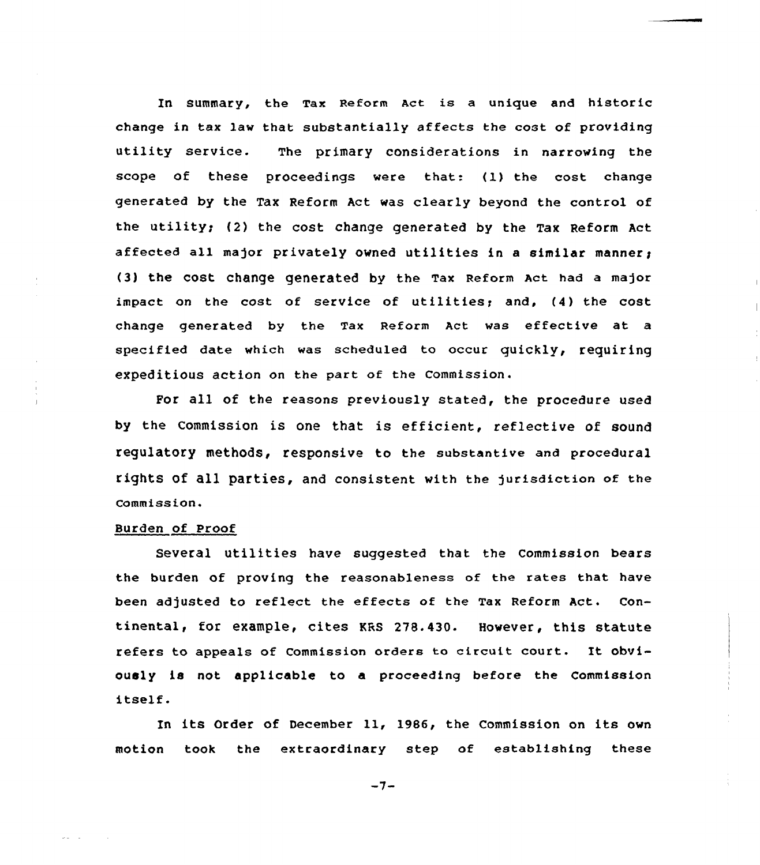In summary, the Tax Reform Act is a unique and historic change in tax law that substantially affects the cost of providing utility service. The primary considerations in narrowing the scope of these proceedings were that: (1) the cost change generated by the Tax Reform Act was clearly beyond the control of the utility; (2) the cost change generated by the Tax Reform Act affected all major privately owned utilities in a similar manner; (3) the COSt Change generated by the Tax Reform Act had a major impact on the cost of service of utilities; and, (4) the cost change generated by the Tax Reform Act was effective at a specified date which was scheduled to occur quickly, requiring expeditious action on the part of the Commission.

For all of the reasons previously stated, the procedure used by the Commission is one that is efficient, reflective of sound regulatory methods, responsive to the substantive and procedural rights of 811 parties, and consistent with the jurisdiction of the Commiss ion <sup>~</sup>

#### Burden of Proof

Several utilities have suggested that the Commission bears the burden of proving the reasonableness of the rates that have been adjusted to reflect the effects of the Tax Reform Act. Continental, for example, cites KRS 278.430. However, this statute refers to appeals of Commission orders to circuit court. It obviously is not applicable to a proceeding before the Commission itself.

In its Order of December 11, 1986, the Commission on its own motion took the extraordinary step of establishing these

 $-7-$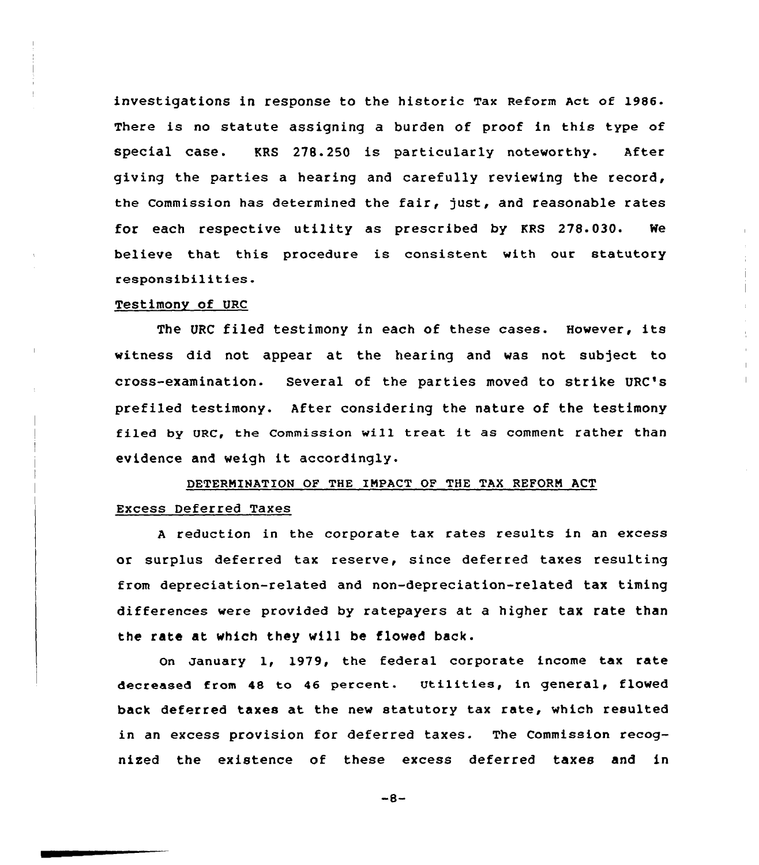investigations in response to the historic Tax Reform Act of 1986. There is no statute assigning a burden of proof in this type of special case. KRS 278.250 is particularly noteworthy. After giving the parties a hearing and carefully reviewing the record, the Commission has determined the fair, just, and reasonable rates for each respective utility as prescribed by KRS 278.030. Ne believe that this procedure is consistent with our statutory responsibilities.

#### Testimony of URC

The URC filed testimony in each of these cases. Hovever, its witness did not appear at the hearing and was not subject to cross-examination. Several of the parties moved to strike URC's prefiled testimony. After considering the nature of the testimony filed by URC, the Commission will treat it as comment rather than evidence and weigh it accordingly.

# DETERNIHAT10N OF THE IMPACT OF THE TAX REFORM ACT

### Excess Deferred Taxes

<sup>A</sup> reduction in the corporate tax rates results in an excess or surplus deferred tax reserve, since deferred taxes resulting from depreciation-related and non-depreciation-related tax timing differences were provided by ratepayers at a higher tax rate than the rate at which they vill be flowed back.

on january 1, 1979, the federal corporate income tax rate decreased from <sup>48</sup> to <sup>46</sup> percent. utilities, in general, flowed back deferred taxes at the new statutory tax rate, which resulted in an excess provision for deferred taxes. The Commission recognised the existence of these excess deferred taxes and in

 $-8-$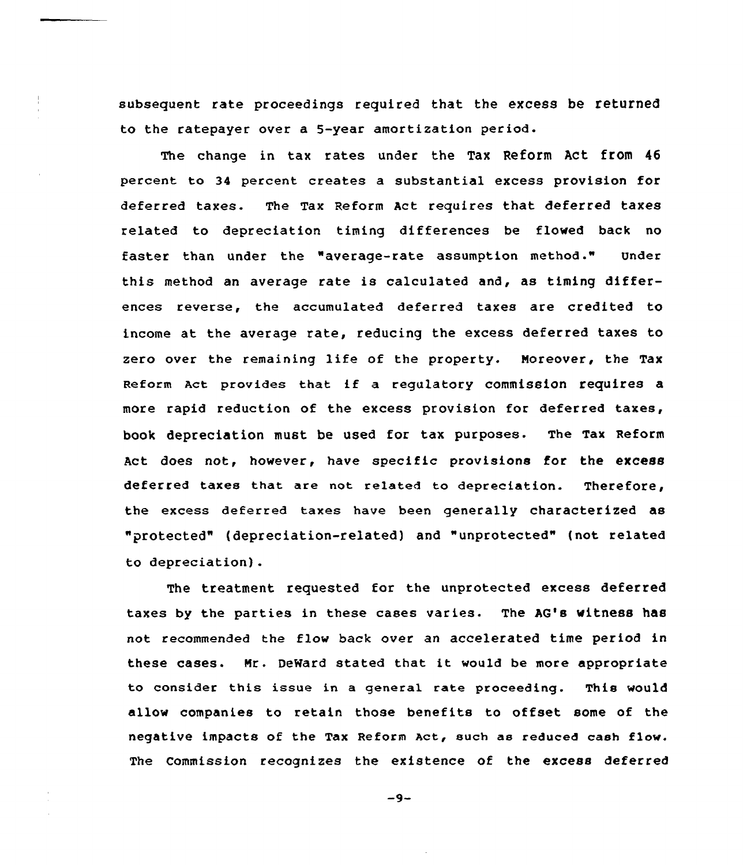subsequent rate proceedings required that the excess be returned to the ratepayer over a 5-year amortization period.

The change in tax rates under the Tax Reform Act from 46 percent to 34 percent creates a substantial excess provision for deferred taxes. The Tax Reform Act requires that deferred taxes related to depreciation timing differences be flowed back no faster than under the "average-rate assumption method." Under this method an average rate is calculated and, as timing differences reverse, the accumulated deferred taxes are credited to income at the average rate, reducing the excess deferred taxes to zero over the remaining life of the property. Noreover, the Tax Reform Act provides that if <sup>a</sup> regulatory commission requires <sup>a</sup> more rapid reduction of the excess provision for deferred taxes, book depreciation must be used for tax purposes. The Tax Reform Act does not, however, have specific provisions for the excess deferred taxes that are not related to depreciation. Therefore, the excess deferred taxes have been generally characterized as "protected" {depreciation-related) and "unprotected" {not related to depreciation).

The treatment requested for the unprotected excess deferred taxes by the parties in these cases varies. The AG's witness has not recommended the flow back over an accelerated time period in these cases. Nr. DeNard stated that it would be more appropriate to consider this issue in a general rate proceeding. This would allow companies to retain those benefits to offset some of the negative impacts of the Tax Reform Act, such as reduced cash flow. The Commission recognizes the existence of the excess deferred

 $-9-$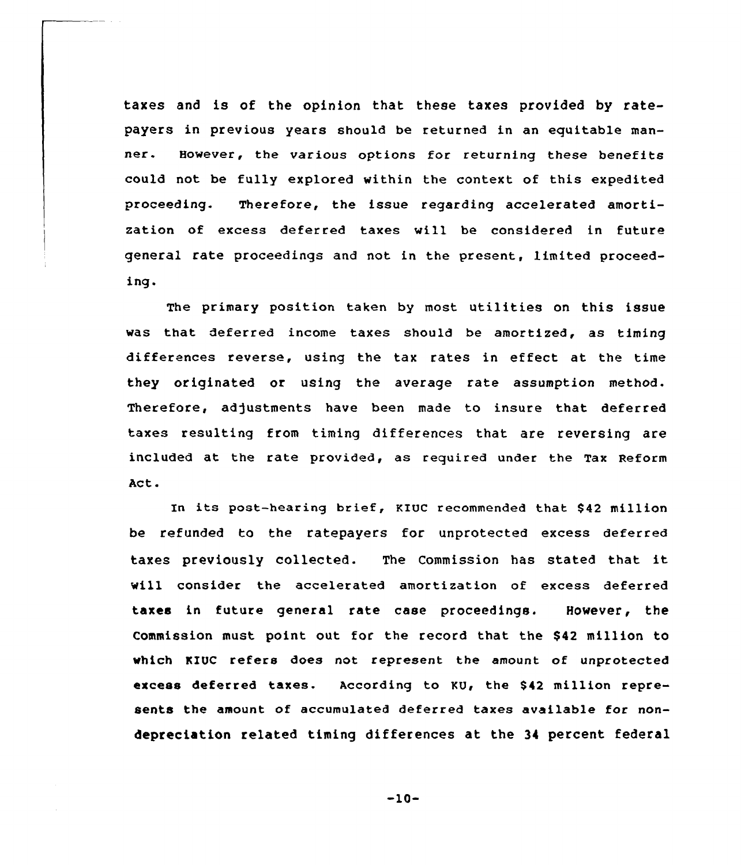taxes and is of the opinion that these taxes provided by ratepayers in previous years should be returned in an equitable manner. However, the various options for returning these benefits could not be fully explored within the context of this expedited proceeding. Therefore, the issue regarding accelerated amortization of excess deferred taxes will be considered in future general rate proceedings and not in the present. limited proceeding.

The primary position taken by most utilities on this issue was that deferred income taxes should be amortized, as timing differences reverse, using the tax rates in effect at the time they originated or using the average rate assumption method. Therefore, adjustments have been made to insure that deferred taxes resulting from timing differences that are reversing are included at the rate provided, as required under the Tax Reform Act.

In its post-hearing brief, KIUC recommended that \$42 million be refunded to the ratepayers for unprotected excess deferred taxes previously collected. The Commission has stated that it will consider the accelerated amortization of excess deferred taxes in future general rate case proceedings. However, the Commission must point out for the record that the \$42 million to which KIUC refers does not represent the amount of unprotected excess deferred taxes. According to KU, the \$42 million represents the amount of accumulated deferred taxes available for nondepreciation related timing differences at the 34 percent federal

-10-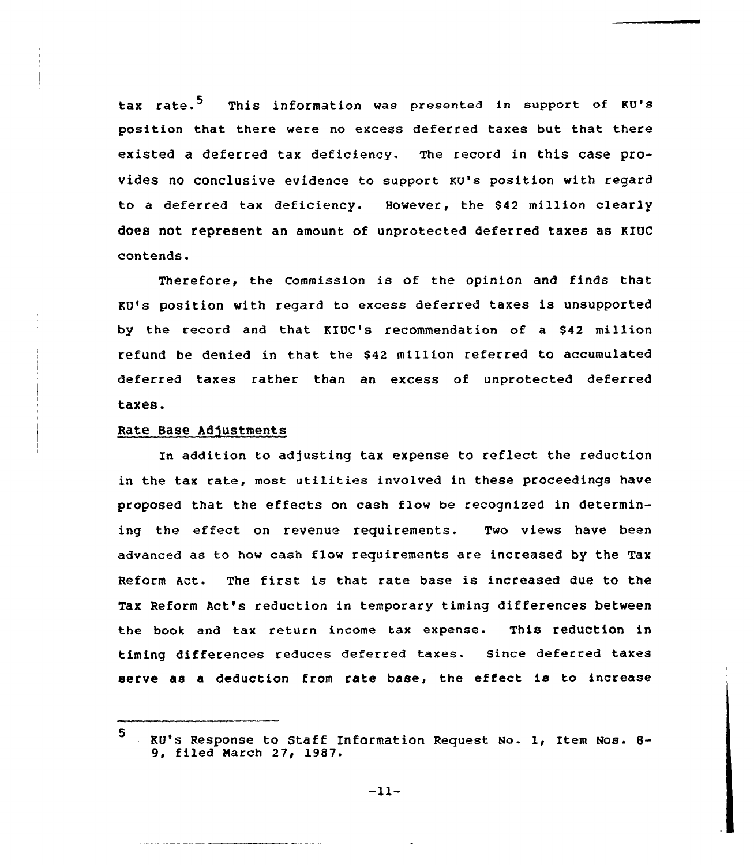tax rate.<sup>5</sup> This information was presented in support of KU's position that there were no excess deferred taxes but that there existed a deferred tax deficiency. The record in this case provides no conclusive evidence to support KU's position with reqard to a deferred tax deficiency. However, the \$42 million clearly does not. represent an amount of unprotected deferred taxes as KIUC contends.

Therefore, the Commission is of the opinion and finds that KU's position with regard to excess deferred taxes is unsupported by the record and that KIUC's recommendation of a \$42 million refund be denied in that the \$42 million referred to accumulated deferred taxes rather than an excess of unprotected deferred taxes.

## Rate Base Adjustments

In addition to adjusting tax expense to reflect the reduction in the tax rate, most utilities involved in these proceedings have proposed that the effects on cash flow be recognized in determining the effect on revenue requirements. Two views have been advanced as to how cash flow requirements are increased by the Tax Reform Act. The first is that rate base is increased due to the Tax Reform Act's reduction in temporary timing differences between the book and tax return income tax expense. This reduction in timing differences reduces deferred taxes. Since deferred taxes serve as a deduction from rate base, the effect is to increase

<sup>5</sup> KQ's Response to Staff Information Request No. 1, Item Nos. 8- 9, filed March 27, 1987.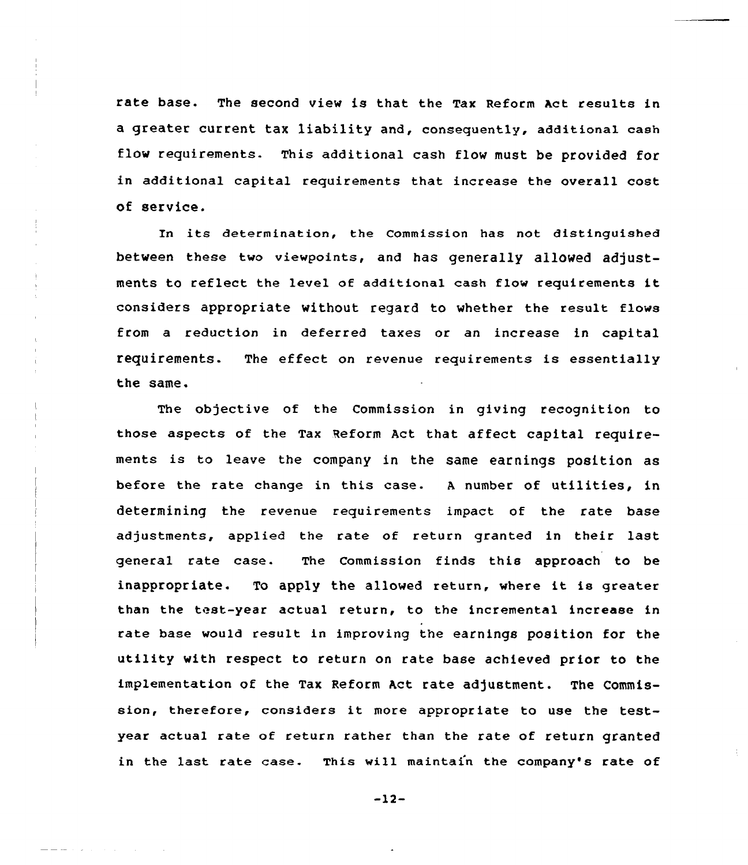rate base. The second view is that the Tax Reform Act results in a greater current tax liability and, consequently, additional cash flow requirements. This additional cash flow must be provided for in additional capital requirements that increase the overall cost of service.

In its determination, the Commission has not distinguished between these two viewpoints, and has generally allowed adjustments to reflect the level of additional cash flow requirements it considers appropriate without regard to whether the result flows from a reduction in deferred taxes or an increase in capital requirements. The effect on revenue requirements is essentially the same.

The objective of the Commission in giving recognition to those aspects of the Tax Reform Act that affect capital requirements is to leave the company in the same earnings position as before the rate change in this case. <sup>A</sup> number of utilities, in determining the revenue requirements impact of the rate base adjustments, applied the rate of return granted in their last general rate case. The Commission finds this approach to be inappropriate. To apply the allowed return, where it is greater than the teat-year actual return, to the incremental increase in rate base would result in improving the earnings position for the utility with respect to return on rate base achieved prior to the implementation of the Tax Reform Act rate adjustment. The Commission, therefore, considers it more appropriate to use the testyear actual rate of return rather than the rate of return granted in the last rate case. This wi11 maintain the company's rate of

-12-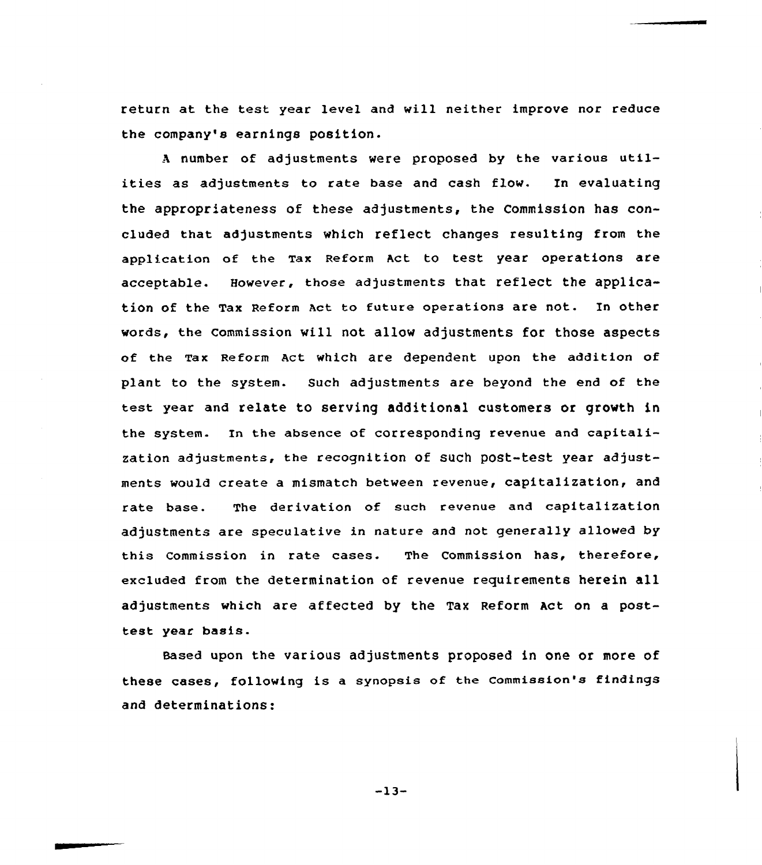return at the test year level and will neither improve nor reduce the company's earnings position.

<sup>A</sup> number of adjustments were proposed by the various utilities as adjustments to rate base and cash flow. En evaluating the appropriateness of these adjustments, the Commission has concluded that adjustments which reflect changes resulting from the application of the Tax Reform Act to test year operations are acceptable. However, those adjustments that reflect the application of the Tax Reform Act to future operations are not. In other words, the commission will not allow adjustments for those aspects of the Tax Reform Act which are dependent upon the addition of plant to the system. Such adjustments are beyond the end of the test year and relate to serving additional customers or growth in the system. In the absence of corresponding revenue and capitalization adjustments, the recognition of such post-test year adjustments would create a mismatch between revenue, capitalization, and rate base. The derivation of such revenue and capitalization adjustments are speculative in nature and not generally allowed by this Commission in rate cases. The Commission has, therefore, excluded from the determination of revenue requirements herein all adjustments which are affected by the Tax Reform Act on a posttest year basis.

eased upon the various adjustments proposed in one or more of these cases, following is a synopsis of the commission's findings and determinations:

 $-13-$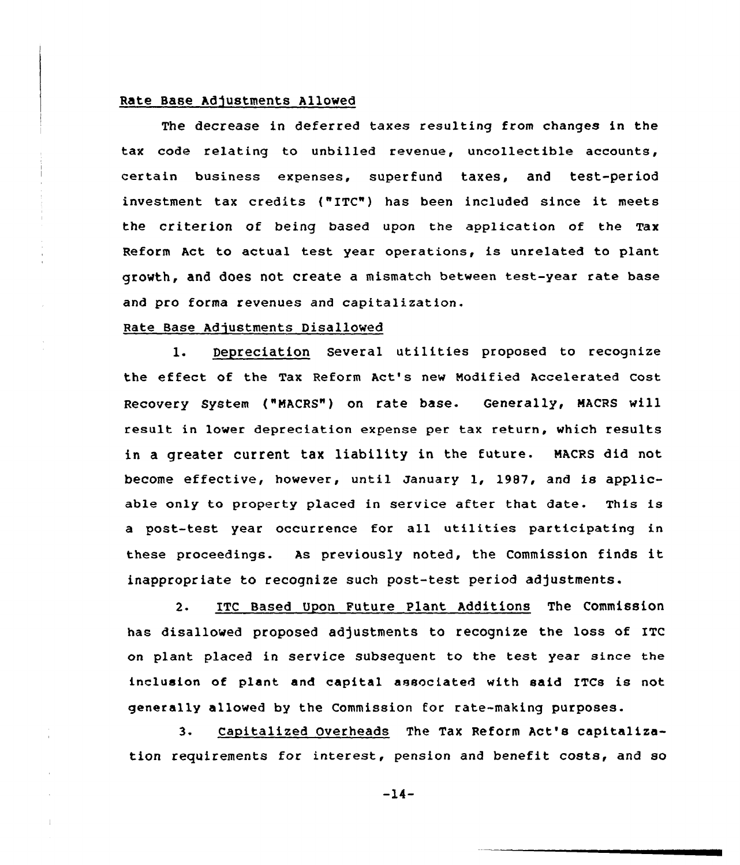# Rate Base Adjustments Allowed

The decrease in deferred taxes resulting from changes in the tax code relating to unbilled revenue, uncollectible accounts, certain business expenses, superfund taxes, and test-period investment tax credits ("ITC") has been included since it meets the criterion of being based upon the application of the Tax Reform Act to actual test year operations, is unrelated to plant growth, and does not create a mismatch between test-year rate base and pro forma revenues and capitalization.

# Rate Base Adjustments Disallowed

l. Depreciation Several utilities proposed to recognize the effect of the Tax Reform Act's new Modified Accelerated Cost Recovery System ("NACRS") on rate base. Generally, MACRS will result in lower depreciation expense per tax return, which results in a greater current tax liability in the future. NAcRS did not become effective, however, until January 1, 19S7, and is applicable only to property placed in service after that date. This is a post-test year occurrence for all utilities participating in these proceedings. As previously noted, the Commission finds it inappropriate to recognize such post-test period adjustments.

2- ITC Based Upon Future Plant Additions The Commission has disallowed proposed adjustments to recognize the loss of ITC on plant placed in service subsequent to the test year since the inclusion of plant and capital associated with said ITCs is not generally allowed by the Commission for rate-making purposes.

3. capitalized Overheads The Tax Reform Act's capitalization requirements for interest, pension and benefit costs, and so

 $-14-$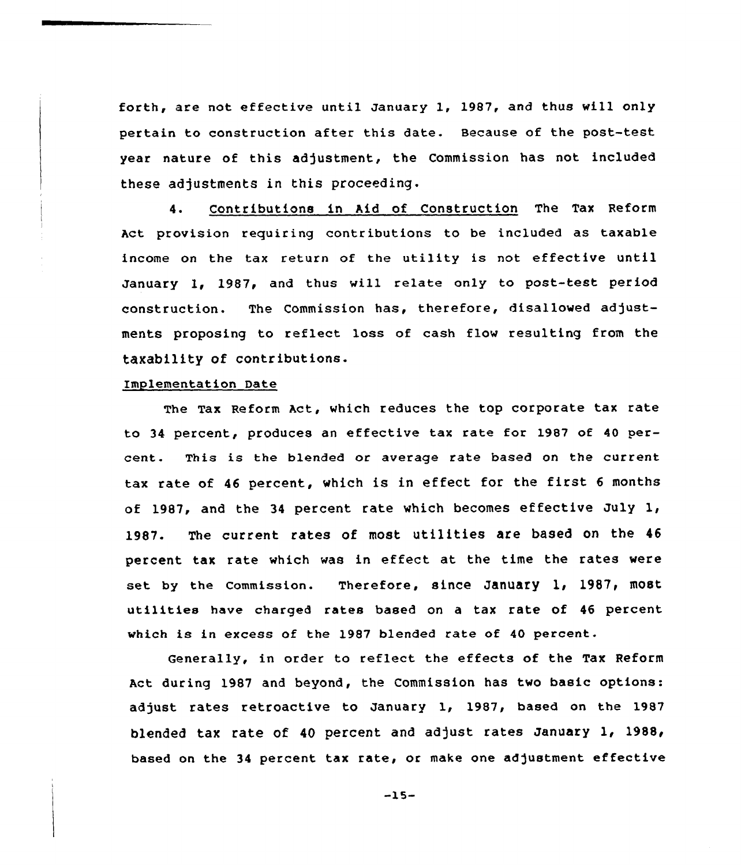forth, are not effective until January 1, 1987, and thus will only pertain to construction after this date. Because of the post-teat year nature of this adjustment, the Commission has not included these adjustments in this proceeding.

4. Contributions in Aid of Construction The Tax Reform Act provision requiring contributions to be included as taxable income on the tax return of the utility is not effective until January 1, 1987, and thus vill relate only to post-test period construction. The Commission has, therefore, disallowed adjustments proposing to reflect loss of cash flow resulting from the taxability of contributions.

#### Implementation Date

The Tax Reform Act, which reduces the top corporate tax rate to 34 percent, produces an effective tax rate for 1987 of 40 percent. This is the blended or average rate based on the current tax rate of 46 percent, which is in effect for the first 6 months of 1987, and the <sup>34</sup> percent rate which becomes effective July 1, 1987. The current rates of most utilities are based on the <sup>46</sup> percent tax rate which vas in effect at the time the rates were set by the Commission. Therefore, since January 1, 1987, most utilities have charged rates based on <sup>a</sup> tax rate of <sup>46</sup> percent which is in excess of the 1987 blended rate of 40 percent.

Generally, in order to reflect the effects of the Tax Reform Act during 1987 and beyond, the Commission has two basic options: adjust rates retroactive to January 1, 1987, based on the 1987 blended tax rate of 40 percent and adjust rates January 1, 1988, based on the <sup>34</sup> percent tax rate, or make one adjustment effective

-15-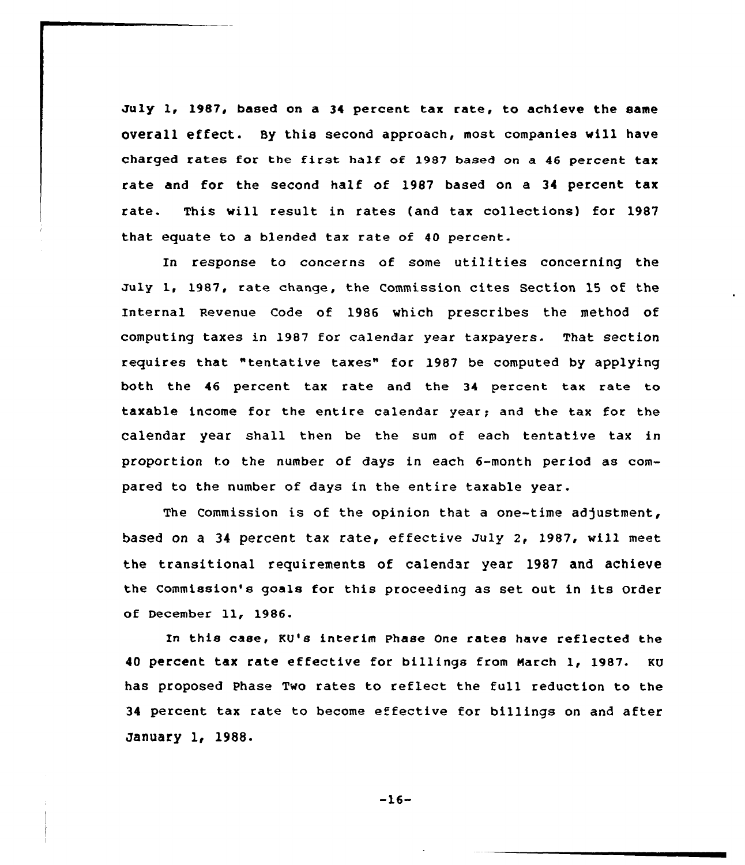July 1, 1987, based on a 34 percent tax rate, to achieve the same overall effect. By this second approach, most companies will have charged rates for the first half of 1987 based on a <sup>46</sup> percent tax rate and for the second half of 1987 based on a 34 percent tax rate. This will result in rates (and tax collections) for 1987 that equate to a blended tax rate of 40 percent.

In response to concerns of some utilities concerning the July 1, 1987, rate change, the Commission cites Section 15 of the Internal Revenue Code of 1986 which prescribes the method of computing taxes in 1987 for calendar year taxpayers. That section requires that "tentative taxes" for 1987 be computed by applying both the 46 percent tax rate and the 34 percent tax rate to taxable income for the entire calendar year; and the tax for the calendar year shall then be the sum of each tentative tax in proportion to the number of days in each 6-month period as compared to the number of days in the entire taxable year.

The Commission is of the opinion that a one-time adjustment, based on a 34 percent tax rate, effective July 2, 1987, will meet the transitional requirements of calendar year 1987 and achieve the Commission's goals for this proceeding as set out in its Order of December 11, 1986.

Ln this case, KV's interim Phase One rates have reflected the <sup>40</sup> percent tax rate effective for billings from march 1, 1987. KU has proposed Phase Two rates to reflect the full reduction to the 34 percent tax rate to become effective for billings on and after January 1, 1988.

 $-16-$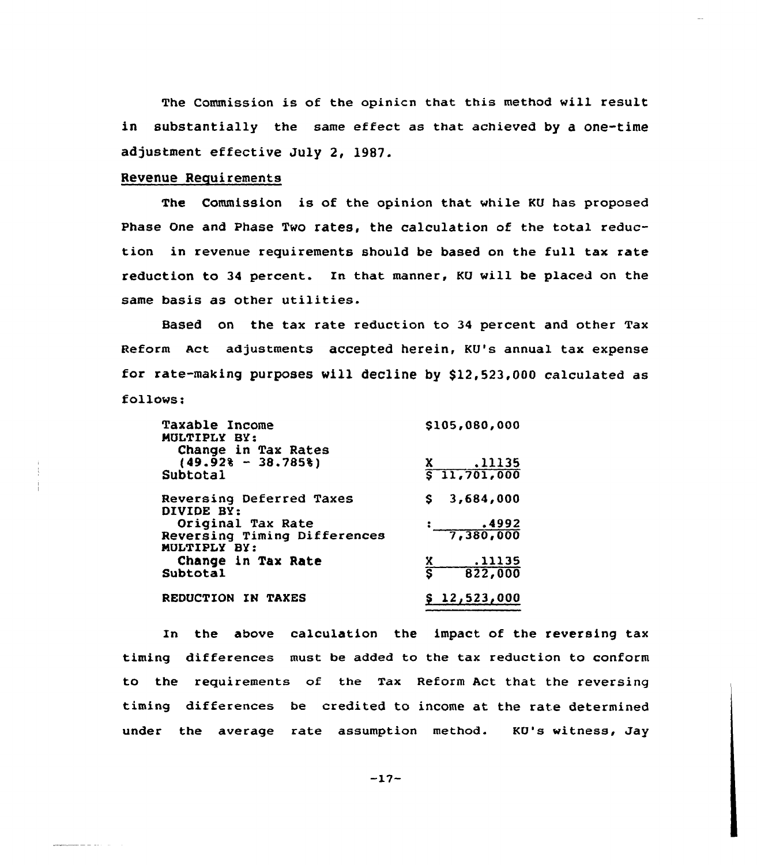The Commission is of the opinicn that this method will result in substantially the same effect as that achieved by a one-time adjustment effective July 2, 1987.

# Revenue Requirements

للمستنقذ والمستنقط

The Commission is of the opinion that while KU has proposed Phase One and Phase Two rates, the calculation of the total reduction in revenue requirements should be based on the full tax rate reduction to 34 percent. In that manner, KU will be placed on the same basis as other utilities.

Based on the tax rate reduction to 34 percent and other Tax Reform Act adjustments accepted herein, KU's annual tax expense for rate-making purposes will decline by \$12,523,000 calculated as follows;

| Taxable Income<br>MULTIPLY BY:<br>Change in Tax Rates | \$105,080,000          |
|-------------------------------------------------------|------------------------|
| $(49.928 - 38.7858)$                                  | X .11135               |
| Subtotal                                              | 511,701,000            |
| Reversing Deferred Taxes<br>DIVIDE BY:                | 3,684,000<br>S.        |
| Original Tax Rate                                     |                        |
| Reversing Timing Differences<br>MULTIPLY BY:          | $\frac{1}{7,380,000}$  |
| Change in Tax Rate                                    | .11135                 |
| Subtotal                                              | $rac{x}{s}$<br>822,000 |
| REDUCTION IN TAXES                                    | \$12,523,000           |

In the above calculation the impact of the reversing tax timing differences must be added to the tax reduction to conform to the requirements of the Tax Reform Act that the reversing timing differences be credited to income at the rate determined under the average rate assumption method. KU's witness, Jay

 $-17-$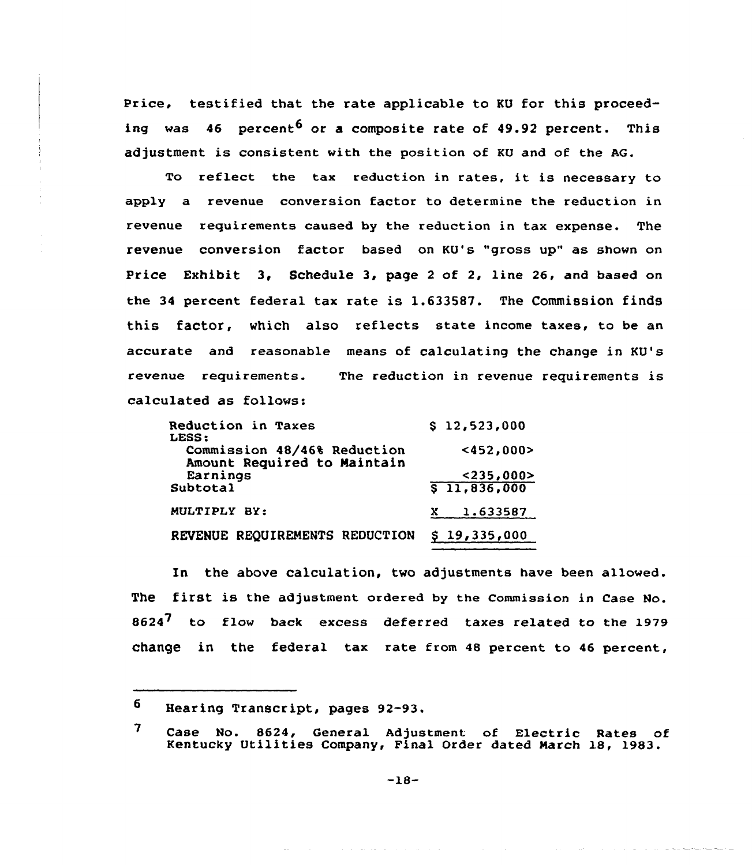Price, testified that the rate applicable to KU for this proceeding was 46 percent<sup>6</sup> or a composite rate of 49.92 percent. This adjustment is consistent with the position of KU and of the AG.

To reflect the tax reduction in rates, it is necessary to apply a revenue conversion factor to determine the reduction in revenue requirements caused by the reduction in tax expense. The revenue conversion factor based on KU's "gross up" as shown on Price Exhibit 3, Schedule 3, page <sup>2</sup> of 2, line 26, and based on the 34 percent federal tax rate is 1.633587. The Commission finds this factor, which also reflects state income taxes, to be an accurate and reasonable means of calculating the change in KU's revenue requirements. The reduction in revenue requirements is calculated as follows:

| Reduction in Taxes<br>LESS:                                | \$12,523,000 |
|------------------------------------------------------------|--------------|
| Commission 48/46% Reduction<br>Amount Required to Maintain | $452,000$    |
| Earnings                                                   | $<$ 235,000> |
| Subtotal                                                   | \$11,836,000 |
| MULTIPLY BY:                                               | 1.633587     |
| REVENUE REQUIREMENTS REDUCTION                             | \$19,335,000 |

In the above calculation, two adjustments have been allowed. The first is the adjustment ordered by the commission in Case No. 8624<sup>7</sup> to flow back excess deferred taxes related to the 1979 change in the federal tax rate from 48 percent to 46 percent,

б. Hearing Transcript, pages 92-93.

<sup>7</sup> Case No. 8624, General Adjustment of Electric Rates of Kentucky Utilities Company, Final Order dated March 18, 1983.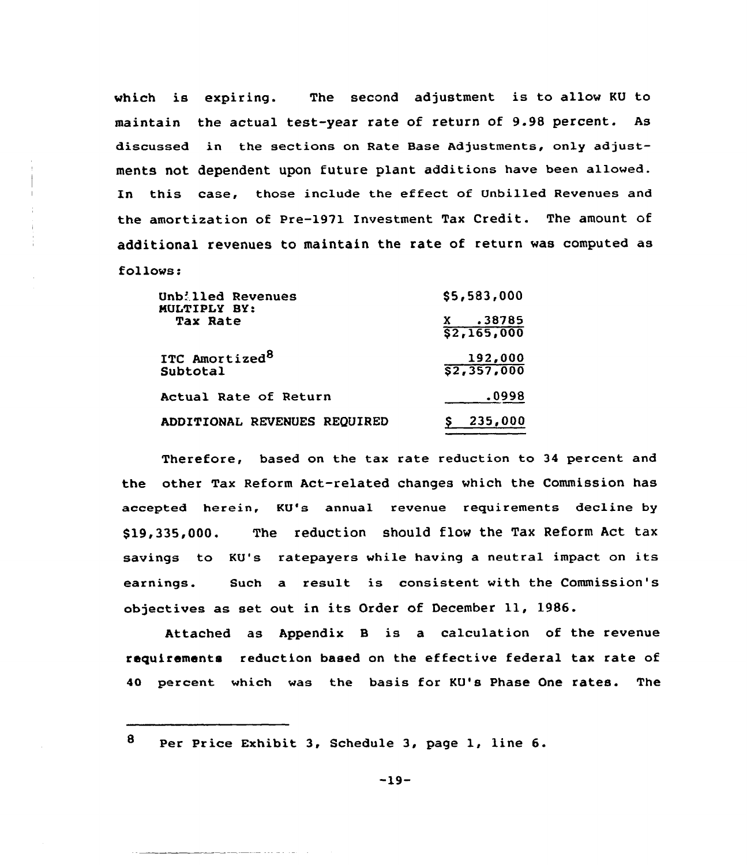which is expiring. The second adjustment is to allow KU to maintain the actual test-year rate of return of 9.98 percent. As discussed in the sections on Rate Base Adjustments, only adjustments not dependent upon future plant additions have been allowed. In this case, those include the effect of Unbilled Revenues and the amortization of Pre-1971 Investment Tax Credit. The amount of additional revenues to maintain the rate of return was computed as follows:

| Unb: lled Revenues<br>MULTIPLY BY:     | \$5,583,000                    |
|----------------------------------------|--------------------------------|
| <b>Tax Rate</b>                        | X .38785<br>$\sqrt{2,165,000}$ |
| ITC Amortized <sup>8</sup><br>Subtotal | 192,000<br>\$2,357,000         |
| Actual Rate of Return                  | .0998                          |
| ADDITIONAL REVENUES REQUIRED           | 235,000                        |

Therefore, based on the tax rate reduction to 34 percent and the other Tax Reform Act-related changes which the Commission has accepted herein, KU's annual revenue requirements decline by \$ 19,335,000. The reduction should flow the Tax Reform Act tax savings to KU's ratepayers while having a neutral impact on its earnings. Such a result is consistent with the Commission's objectives as set out in its Order of December 11, 1986.

Attached as Appendix <sup>B</sup> is a calculation of the revenue requirements reduction based on the effective federal tax rate of 40 percent which was the basis for KU's Phase One rates. The

8 Per Price Exhibit 3, Schedule 3, page 1, line 6.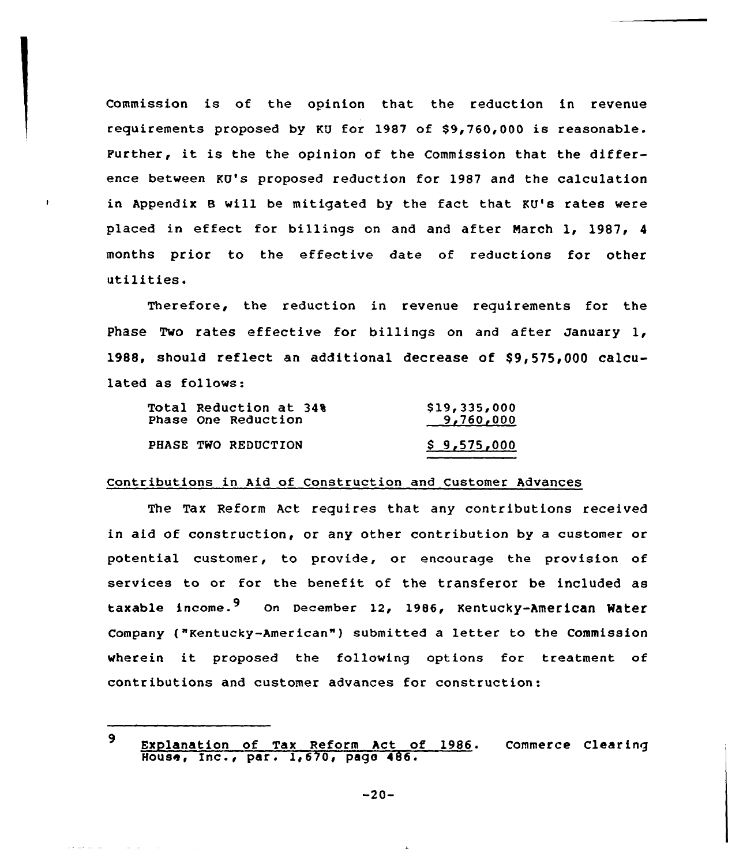Commission is of the opinion that the reduction in revenue requirements proposed by KU for 1987 of \$9,760,000 is reasonable. Further, it is the the opinion of the Commission that the difference between KU's proposed reduction for 1987 and the calculation in Appendix 8 will be mitigated by the fact that KU's rates were placed in effect for billings on and and after March 1, 1987, <sup>4</sup> months prior to the effective date of reductions for other utilities.

Therefore, the reduction in revenue requirements for the Phase Two rates effective for billings on and after January 1, 1988, should reflect an additional decrease of  $$9,575,000$  calculated as follows:

| Total Reduction at 34%<br>Phase One Reduction | \$19,335,000<br>9,760,000 |
|-----------------------------------------------|---------------------------|
| PHASE TWO REDUCTION                           | \$9,575,000               |

## Contributions in Aid of Construction and Customer Advances

The Tax Reform Act requires that any contributions received in aid of construction, or any other contribution by a customer or potential customer, to provide, or encourage the provision of services to or for the benefit of the transferor be included as taxable income.<sup>9</sup> On December 12, 1986, Kentucky-American Water Company ("Kentucky-American"} submitted <sup>a</sup> letter to the Commission wherein it proposed the following options for treatment of contributions and customer advances for construction:

القارف المرابط الفريق يقولون

<sup>9</sup> Explanation of Tax Reform Act of 1986. Commerce Clearing House, Inc., par. 1,670, pago 486.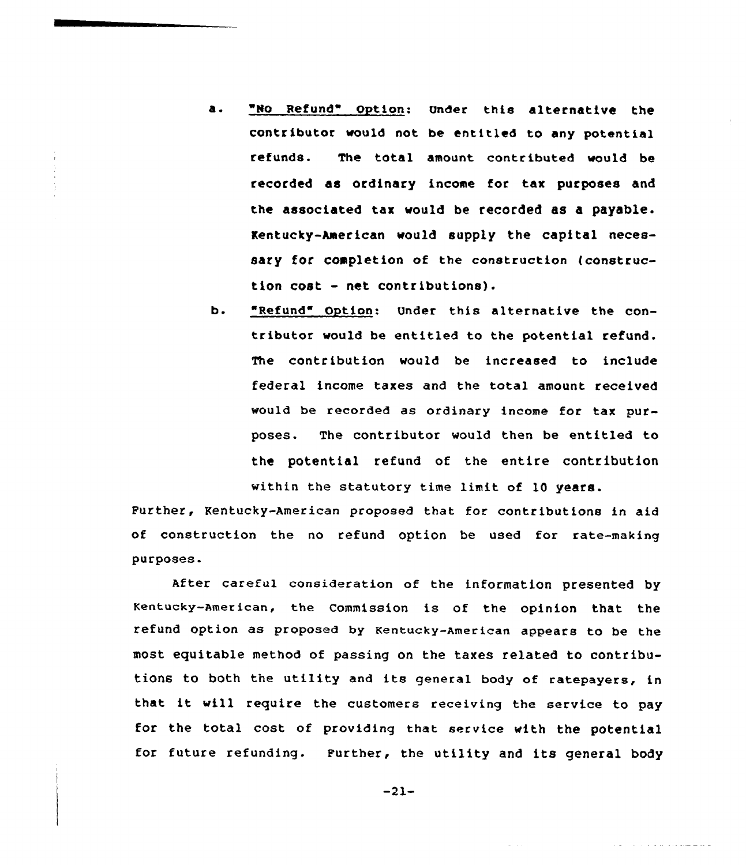- a. "No Refund" Option: Under this alternative the contributor would not be entitled to any potential refunds. The total amount contr ibuted would be recorded as ordinary income for tax purposes and the associated tax would be recorded as a payable. Kentucky-American would supply the capital necessary for completion of the construction (construction cost - net contributions).
- b. Refund" Option: Under this alternative the contributor would be entitled to the potential refund. The contribution would be increased to include federal income taxes and the total amount received would be recorded as ordinary income for tax purposes. The contributor would then be entitled to the potential refund of the entire contribution within the statutory time limit of 10 years.

Further, Kentucky-American proposed that for contributions in aid of construction the no refund option be used for rate-making purposes.

After careful consideration of the information presented by Kentucky-American, the Commission is of the opinion that the refund option as proposed by Kentucky-American appears to be the most equitable method of passing on the taxes related to contributions to both the utility and its general body of ratepayers, in that it will require the customers receiving the service to pay for the total cost of providing that service with the potential for future refunding. Further, the utility and its general body

-21-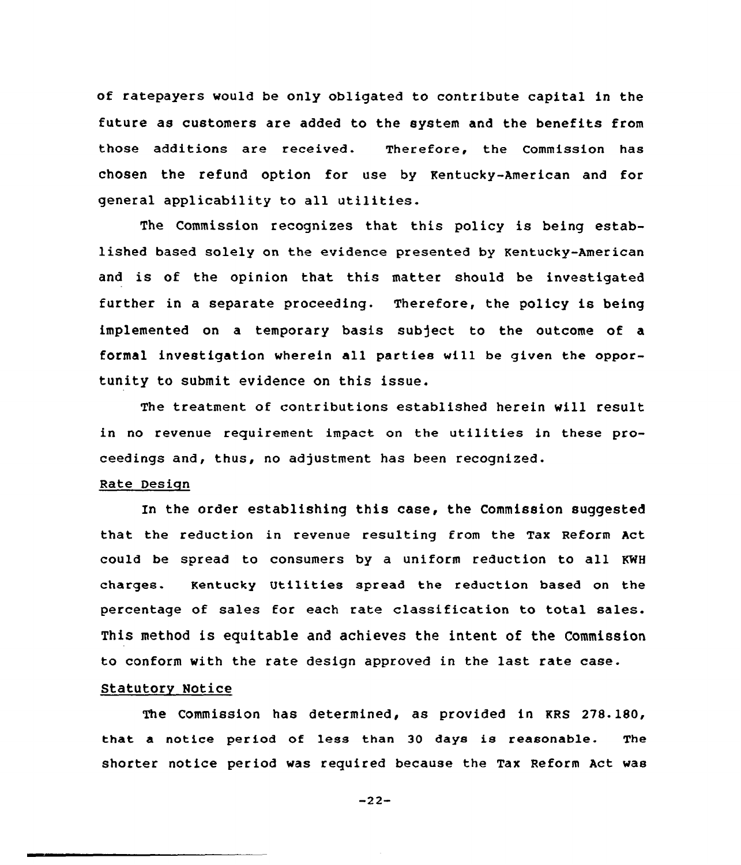of ratepayers would be only obligated to contribute capital in the future as customers are added to the system and the benefits from those additions are received. Therefore, the Commission has chosen the refund option for use by Kentucky-American and for general applicability to all utilities.

The Commission recognizes that this policy is being established based solely on the evidence presented by Kentucky-American and is of the opinion that this matter should be investigated further in a separate proceeding. Therefore, the policy is being implemented on a temporary basis subject to the outcome of a formal investigation wherein all parties will be given the opportunity to submit evidence on this issue.

The treatment of contributions established herein will result in no revenue requirement impact on the utilities in these proceedings and, thus, no adjustment has been recognized.

## Rate Design

In the order establishing this case, the Commission suggested that the reduction in revenue resulting from the Tax Reform Act could be spread to consumers by a uniform reduction to all KWH charges. Kentucky Utilities spread the reduction based on the percentage of sales for each rate classification to total sales. This method is equitable and achieves the intent of the Commission to conform with the rate design approved in the last rate case.

## Statutory Notice

The Commission has determined, as provided in KRS 278.180, that a notice period of less than 30 days is reasonable. The shorter notice period was required because the Tax Reform Act was

-22-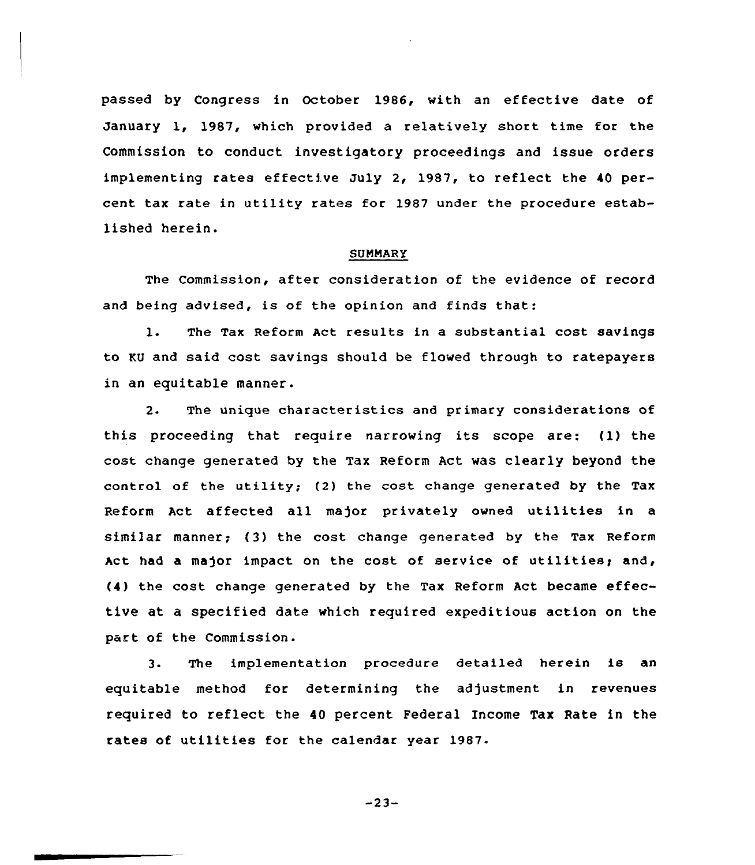passed by Congress in October 1986, with an effective date of January 1, 1987, which provided a relatively short time for the Commission to conduct investigatory proceedings and issue orders implementing rates effective July 2, 1987, to reflect the 40 percent tax rate in utility rates for 1987 under the procedure established herein.

#### SUMMARY

The Commission, after consideration of the evidence of record and being advised, is of the opinion and finds that:

1. The Tax Reform Act results in <sup>a</sup> substantial cost savings to KU and said cost savings should be flowed through to ratepayers in an equitable manner.

2. The unique characteristics and primary considerations of this proceeding that require narrowing its scope are: (1) the cost change generated by the Tax Reform Act was clearly beyond the control of the utility; (2) the cost change generated by the Tax Reform Act affected all major privately owned utilities in <sup>a</sup> similar manner; (3) the cost change generated by the Tax Reform Act had a major impact on the cost of service of utilities; and, (4) the cost change generated by the Tax Reform Act became effective at a specified date which required expeditious action on the part of the Commission.

3. The implementation procedure detailed herein is an equitable method for determining the adjustment in revenues required to reflect the 40 percent Federal Income Tax Rate in the rates of utilities for the calendar year 1987.

 $-23-$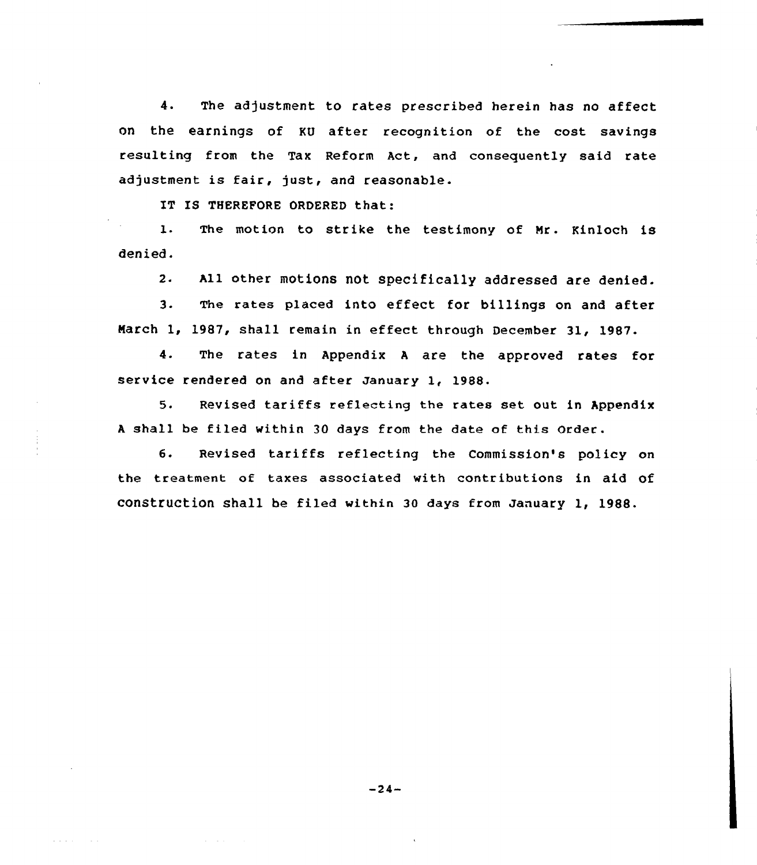4. The adjustment to rates prescribed herein has no affect on the earnings of KU after recognition of the cost savings resulting from the Tax Reform Act, and consequently said rate adjustment is fair, just, and reasonable.

IT IS THEREFORE ORDERED that:

1. The motion to strike the testimony of Mr. Kinloch is denied.

2. All other motions not specifically addressed are denied.

3. The rates placed into effect for billings on and after March 1, 1987, shall remain in effect through December 31, 1987.

4. The rates in Appendix <sup>A</sup> are the approved rates for service rendered on and after January 1, 1988

 $5.$ Revised tariffs reflecting the rates set out in Appendix A shall be filed within 30 days from the date of this Order.

6. Revised tariffs reflecting the Commission's policy on the treatment of taxes associated with contributions in aid of construction shall be filed within 3o days from January 1, 1988.

 $-24-$ 

and a strip of the

and a series of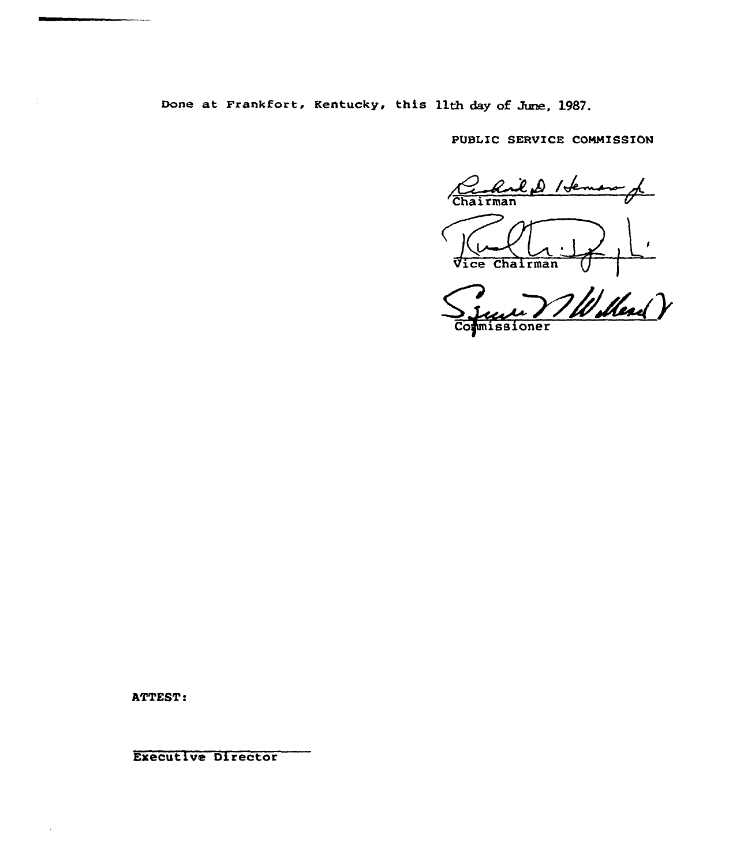Done at Frankfort, Kentucky, this llth day of June, 1987.

PUBLIC SERVICE COMMISSION

<u>Chriled Heman</u>

Ce Chairman (1) Commissioner

ATTEST:

Executive Director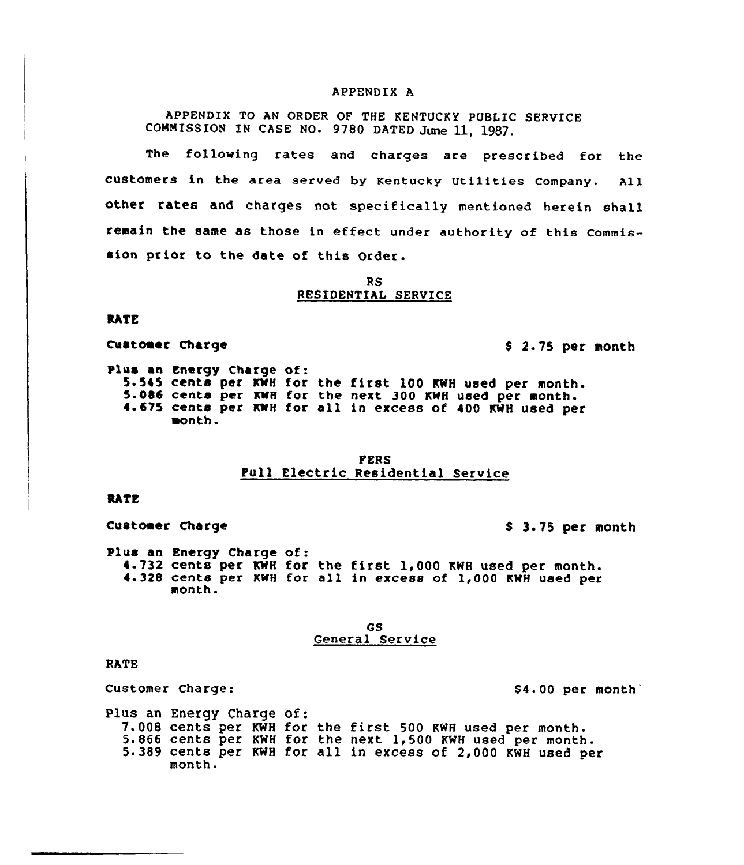#### APPENDIX A

APPENDIX TO AN ORDER OF THE KENTUCKY PUBLIC SERVICE COMMISSION IN CASE NO. 9780 DATED June 11, 1987.

The following rates and charges are prescribed for the customers in the area served by Kentucky utilities company. All other rates and charges not specifically mentioned herein shall remain the same as those in effect under authority of this Commis sion prior to the date of this Order.

> RS RESIDENTIAL SERVICE

#### **RATE**

Customer Charge 8 2.75 per month

Plus an Energy Charge of:<br>5.545 cents per KWH for the first 100 KWH used per month. 5.086 cents per KWH for the next 300 KWH used per month.<br>4.675 cents per KWH for all in excess of 400 KWH used per month.

## PERS Pull Electric Residential Service

## **RATE**

Customer Charge 8 3.75 per month

Plus an Energy Charge of: 4.732 cents per KWH for the first 1,000 KWH used per month. 4.328 cents per KwH for all in excess of 1,000 KwH used per month.

#### GS General Service

#### RATE

Customer Charge:  $$4.00$  per month

Plus an Energy Charge of: 7.008 cents per KWH for the first 500 KWH used per month.<br>5.866 cents per KWH for the next 1,500 KWH used per month. 5.389 cents per KWH for all in excess of 2,000 KWH used per month.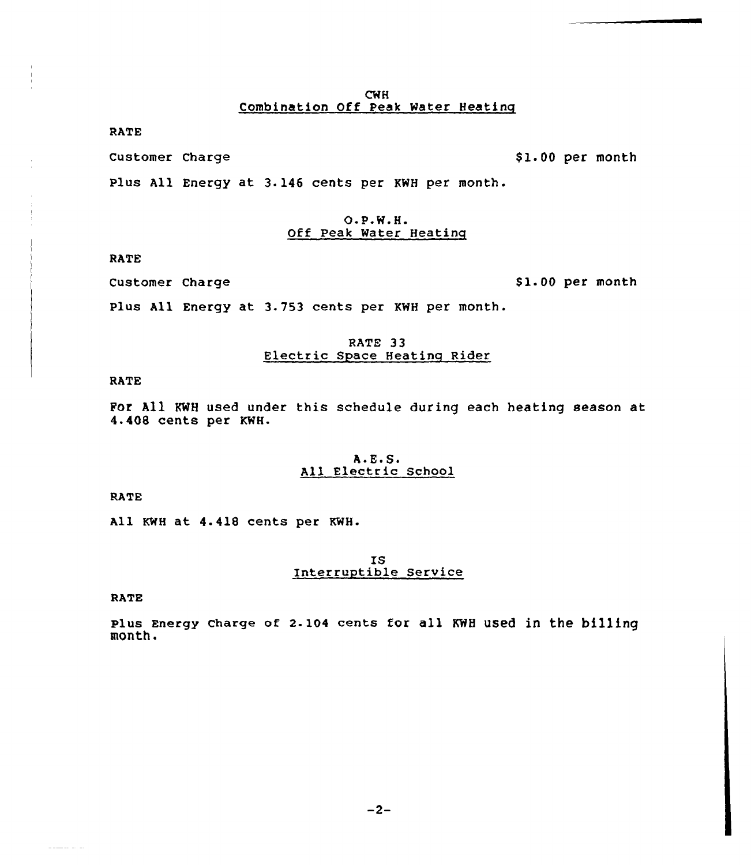RATE

Customer Charge

\$1.00 per month

Plus All Energy at 3.146 cents per KNH per month.

## $O.P.W.H.$ Off Peak Water Heatinq

**RATE** 

Customer Charge

\$1.00 per month

Plus All Energy at 3.753 cents per KWH per month.

# RATE 33<br>Electric Space Heating Rider

RATE

For All RNH used under this schedule during each heating season at 4.408 cents per KNH.

### $A.E.S.$ All Electric School

RATE

All KMH at 4.418 cents per KWH.

# IS Interruptible Service

RATE

**Service State** 

Plus Energy Charge of 2-104 cents for all KWH uSed in the billing month.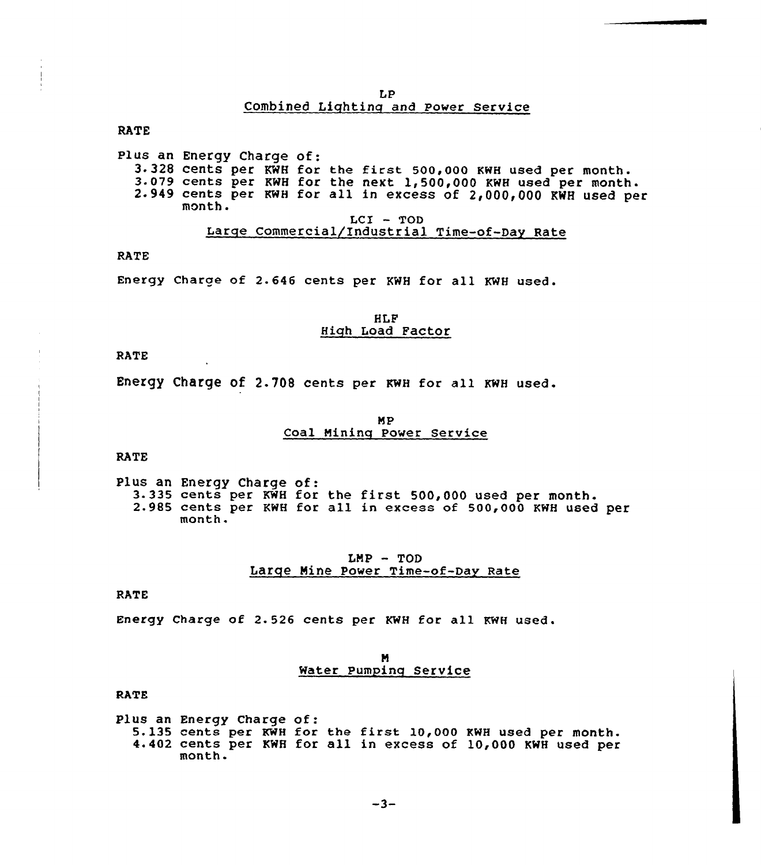LP Combined Lighting and Power service

RATE

Plus an Energy Charge of:<br>3.328 cents per KWH for the first 500,000 KWH used per month.<br>3.079 cents per KWH for the next 1,500,000 KWH used per<br>2.949 cents per KWH for all in excess of 2,000,000 KWH used per month.  $LCI$  - TOD Large commercial/Industrial Time-of-Day Rate

RATE

Energy Charge of 2.646 cents per KWH for all KWH used.

### HLF High Load Factor

RATE

Energy charge of 2.708 cents per KwH for all KwH used.

#### MP Coal Nining Power Service

RATE

Plus an Energy Charge of:<br>3.335 cents per KWH for the first 500,000 used per month.<br>2.985 cents per KWH for all in excess of 500,000 KWH used per<br>month.

## LMP — TOD Large Nine power Time-of-Day Rate

**RATE** 

Energy Charge of 2.526 cents per KWH for all KWH used.

### N Water Pumping Service

RATE

Plus an Energy Charge of: 5.l35 cents per KWH for the first 10,000 KWH used per month. 4.402 cents per KWH for all in excess of 10,000 KWH used per month.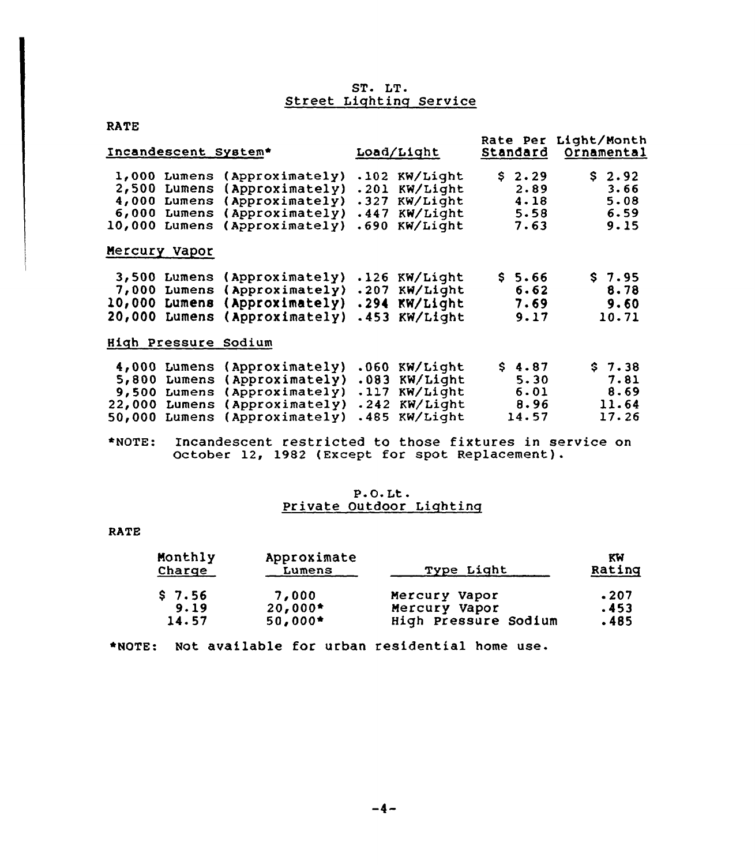# ST. LT.<br>Street Lighting Service

| <b>RATE</b>                                                                                   |                                                                                                                      |                                      |                                                          |                      |                                      |                                          |
|-----------------------------------------------------------------------------------------------|----------------------------------------------------------------------------------------------------------------------|--------------------------------------|----------------------------------------------------------|----------------------|--------------------------------------|------------------------------------------|
| Incandescent System*                                                                          |                                                                                                                      |                                      | Load/Light                                               | Rate Per<br>Standard |                                      | Light/Month<br>Ornamental                |
| 1,000<br>Lumens<br>2,500<br>Lumens<br>4,000<br>6,000<br>10,000<br>Lumens                      | (Approximately)<br>(Approximately)<br>Lumens (Approximately)<br>Lumens (Approximately)<br>$(\texttt{Approximately})$ | .102<br>.201<br>.327<br>.447<br>.690 | KW/Light<br>KW/Light<br>KW/Light<br>KW/Light<br>KW/Light | S.                   | 2.29<br>2.89<br>4.18<br>5.58<br>7.63 | \$2.92<br>3.66<br>5.08<br>6.59<br>9.15   |
| Mercury Vapor                                                                                 |                                                                                                                      |                                      |                                                          |                      |                                      |                                          |
| Lumens<br>3,500<br>7,000<br>Lumens<br>10,000<br>Lumens<br>20,000<br>Lumens                    | (Approximately)<br>(Approximately)<br>(Approximately)<br>(Approximately)                                             | .126<br>.207<br>.294<br>.453         | KW/Light<br>KW/Light<br>KW/Light<br>KW/Light             | \$5.66               | 6.62<br>7.69<br>9.17                 | \$7.95<br>8.78<br>9.60<br>10.71          |
| High Pressure Sodium                                                                          |                                                                                                                      |                                      |                                                          |                      |                                      |                                          |
| Lumens<br>4,000<br>5,800<br>Lumens<br>9,500<br>Lumens<br>22,000<br>Lumens<br>50,000<br>Lumens | (Approximately)<br>(Approximately)<br>(Approximately)<br>(Approximately)<br>$(\text{Approximately})$                 | .060<br>.083<br>.117<br>.242<br>.485 | KW/Light<br>KW/Light<br>KW/Light<br>KW/Light<br>KW/Light | \$4.87<br>14.57      | 5.30<br>6.01<br>8.96                 | \$7.38<br>7.81<br>8.69<br>11.64<br>17.26 |

\*NOTE: Incandescent restricted to those fixtures in service on October 12, 1982 (Except for spot Replacement).

## P-O. Lt. Private Outdoor Lighting

#### RATE

| Monthly<br>Charge | Approximate<br>Lumens | <b>Type Light</b>    | KW<br>Rating |
|-------------------|-----------------------|----------------------|--------------|
| $S$ 7.56          | 7,000                 | Mercury Vapor        | .207         |
| 9.19              | $20,000*$             | Mercury Vapor        | .453         |
| 14.57             | $50,000*$             | High Pressure Sodium | .485         |

\*NOTE: Not available for urban residential home use.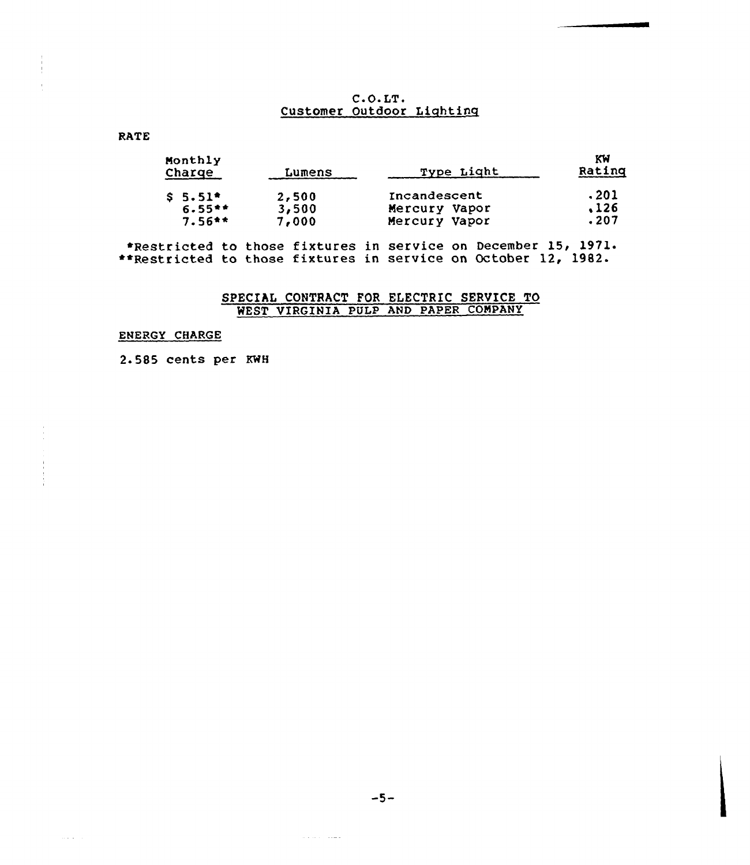# $C.O. LT.$ Customer Outdoor Lightinq

# RATE

| Monthly<br>Charge | Lumens | Type Light    | KW<br>Rating |
|-------------------|--------|---------------|--------------|
| $$5.51*$          | 2,500  | Incandescent  | .201         |
| $6.55**$          | 3,500  | Mercury Vapor | .126         |
| $7.56**$          | 7,000  | Mercury Vapor | .207         |

«Restricted to those fixtures in service on December 15, 1971. \*\*Restricted to those fixtures in service on October 12, 1982.

# SPECIAL CONTRACT FOR ELECTRIC SERVICE TO WEST VIRGINIA PULP AND PAPER COMPANY

# ENERGY CHARGE

 $\alpha$  ,  $\beta$  ,  $\beta$ 

2.585 cents per KWH

 $-5-$ 

 $\pi$  is a  $\pi$  -  $\pi$  in  $\pi$